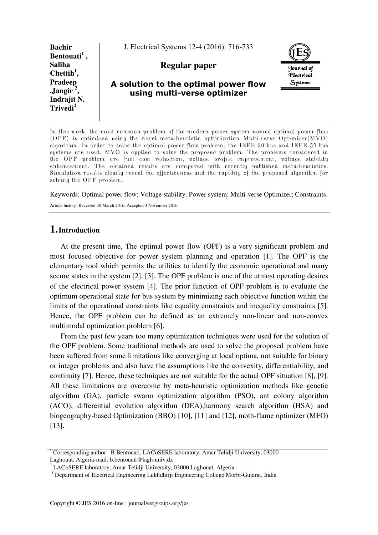| <b>Bachir</b>                                                                       | J. Electrical Systems 12-4 (2016): 716-733                          |                                        |
|-------------------------------------------------------------------------------------|---------------------------------------------------------------------|----------------------------------------|
| Bentouati <sup>1</sup><br><b>Saliha</b><br>Chettih <sup>1</sup> ,                   | Regular paper                                                       | Journal of<br><i><b>Flectrical</b></i> |
| Pradeep<br>$\frac{1}{2}$ Jangir <sup>2</sup><br>Indrajit N.<br>Trivedi <sup>2</sup> | A solution to the optimal power flow<br>using multi-verse optimizer | Systems                                |

In this work, the most common problem of the modern power system named optimal power flow (OPF) is optimized using the novel meta-heuristic optimization Multi-verse Optimizer(MVO) algorithm. In order to solve the optimal power flow problem, the IEEE 30-bus and IEEE 57-bus systems are used. MVO is applied to solve the proposed problem. The problems considered in the OPF problem are fuel cost reduction, voltage profile improvement, voltage stability enhancement. The obtained results are compared with recently published meta-heuristics. Simulation results clearly reveal the effectiveness and the rapidity of the proposed algorithm for solving the OPF problem.

Keywords: Optimal power flow; Voltage stability; Power system; Multi-verse Optimizer; Constraints.

Article history: Received 30 March 2016, Accepted 3 November 2016

# **1.Introduction**

At the present time, The optimal power flow (OPF) is a very significant problem and most focused objective for power system planning and operation [1]. The OPF is the elementary tool which permits the utilities to identify the economic operational and many secure states in the system [2], [3]. The OPF problem is one of the utmost operating desires of the electrical power system [4]. The prior function of OPF problem is to evaluate the optimum operational state for bus system by minimizing each objective function within the limits of the operational constraints like equality constraints and inequality constraints [5]. Hence, the OPF problem can be defined as an extremely non-linear and non-convex multimodal optimization problem [6].

From the past few years too many optimization techniques were used for the solution of the OPF problem. Some traditional methods are used to solve the proposed problem have been suffered from some limitations like converging at local optima, not suitable for binary or integer problems and also have the assumptions like the convexity, differentiability, and continuity [7]. Hence, these techniques are not suitable for the actual OPF situation [8], [9]. All these limitations are overcome by meta-heuristic optimization methods like genetic algorithm (GA), particle swarm optimization algorithm (PSO), ant colony algorithm (ACO), differential evolution algorithm (DEA),harmony search algorithm (HSA) and biogeography-based Optimization (BBO) [10], [11] and [12], moth-flame optimizer (MFO) [13].

<sup>\*</sup> Corresponding author: B.Bentouati, LACoSERE laboratory, Amar Telidji University, 03000 Laghouat, Algeria-mail: b.bentouati@lagh-univ.dz

<sup>1</sup> LACoSERE laboratory, Amar Telidji University, 03000 Laghouat, Algeria

<sup>2</sup> Department of Electrical Engineering Lukhdhirji Engineering College Morbi-Gujarat, India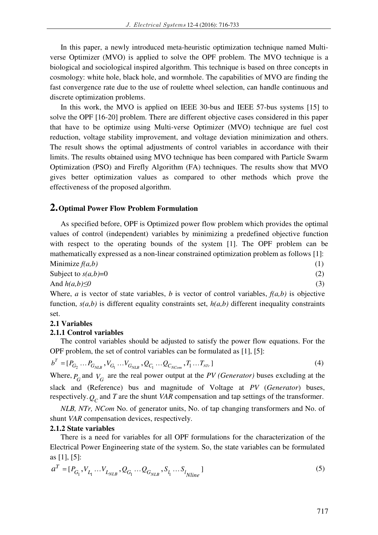In this paper, a newly introduced meta-heuristic optimization technique named Multiverse Optimizer (MVO) is applied to solve the OPF problem. The MVO technique is a biological and sociological inspired algorithm. This technique is based on three concepts in cosmology: white hole, black hole, and wormhole. The capabilities of MVO are finding the fast convergence rate due to the use of roulette wheel selection, can handle continuous and discrete optimization problems.

In this work, the MVO is applied on IEEE 30-bus and IEEE 57-bus systems [15] to solve the OPF [16-20] problem. There are different objective cases considered in this paper that have to be optimize using Multi-verse Optimizer (MVO) technique are fuel cost reduction, voltage stability improvement, and voltage deviation minimization and others. The result shows the optimal adjustments of control variables in accordance with their limits. The results obtained using MVO technique has been compared with Particle Swarm Optimization (PSO) and Firefly Algorithm (FA) techniques. The results show that MVO gives better optimization values as compared to other methods which prove the effectiveness of the proposed algorithm.

## **2.Optimal Power Flow Problem Formulation**

As specified before, OPF is Optimized power flow problem which provides the optimal values of control (independent) variables by minimizing a predefined objective function with respect to the operating bounds of the system [1]. The OPF problem can be mathematically expressed as a non-linear constrained optimization problem as follows [1]: Minimize  $f(a, b)$  **(1)** (1)

$$
\begin{array}{ll}\n\text{Subject to } s(a,b)=0 \\
\text{subject to } s(a,b)=0\n\end{array} (2)
$$

And *h(a,b)≤0* (3)

Where, *a* is vector of state variables, *b* is vector of control variables, *f(a,b)* is objective function, *s(a,b)* is different equality constraints set, *h(a,b)* different inequality constraints set.

## **2.1 Variables**

## **2.1.1 Control variables**

The control variables should be adjusted to satisfy the power flow equations. For the OPF problem, the set of control variables can be formulated as [1], [5]:

$$
b^{T} = [P_{G_2} \dots P_{G_{NLB}}, V_{G_1} \dots V_{G_{NLB}}, Q_{C_1} \dots Q_{C_{NCom}}, T_1 \dots T_{NT} ]
$$
\n(4)

Where,  $P_G$  and  $V_G$  are the real power output at the *PV (Generator)* buses excluding at the slack and (Reference) bus and magnitude of Voltage at *PV* (*Generator*) buses, respectively.*Q<sup>C</sup>* and *T* are the shunt *VAR* compensation and tap settings of the transformer.

*NLB, NTr, NCom* No. of generator units, No. of tap changing transformers and No. of shunt *VAR* compensation devices, respectively.

## **2.1.2 State variables**

There is a need for variables for all OPF formulations for the characterization of the Electrical Power Engineering state of the system. So, the state variables can be formulated as [1], [5]:

$$
a^{T} = [P_{G_1}, V_{L_1} \dots V_{L_{NLB}}, Q_{G_1} \dots Q_{G_{NLB}}, S_{l_1} \dots S_{l_{Nline}}]
$$
\n(5)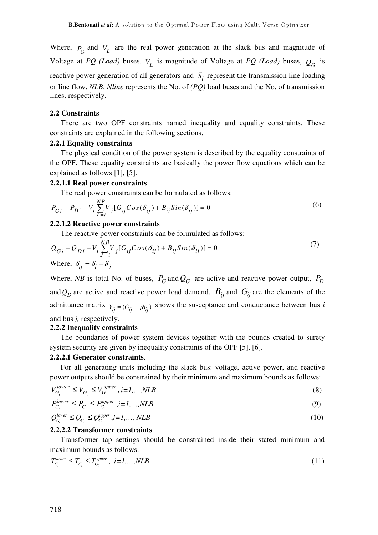Where,  $P_{G_1}$  and  $V_L$  are the real power generation at the slack bus and magnitude of Voltage at *PQ* (*Load*) buses.  $V_L$  is magnitude of Voltage at *PQ* (*Load*) buses,  $Q_G$  is reactive power generation of all generators and  $S_l$  represent the transmission line loading or line flow. *NLB*, *Nline* represents the No. of *(PQ)* load buses and the No. of transmission lines, respectively.

#### **2.2 Constraints**

There are two OPF constraints named inequality and equality constraints. These constraints are explained in the following sections.

## **2.2.1 Equality constraints**

The physical condition of the power system is described by the equality constraints of the OPF. These equality constraints are basically the power flow equations which can be explained as follows [1], [5].

#### **2.2.1.1 Real power constraints**

The real power constraints can be formulated as follows:

$$
P_{Gi} - P_{Di} - V_i \sum_{j=i}^{NB} V_j [G_{ij} Cos(\delta_{ij}) + B_{ij} Sin(\delta_{ij})] = 0
$$
\n(6)

#### **2.2.1.2 Reactive power constraints**

The reactive power constraints can be formulated as follows:

$$
Q_{Gi} - Q_{Di} - V_i \sum_{j=i}^{NB} V_j [G_{ij} Cos(\delta_{ij}) + B_{ij} Sin(\delta_{ij})] = 0
$$
\n(7)  
\nWhere,  $\delta_{ij} = \delta_i - \delta_j$ 

Where, *NB* is total No. of buses,  $P_G$  and  $Q_G$  are active and reactive power output,  $P_D$ and  $Q_D$  are active and reactive power load demand,  $B_{ij}$  and  $G_{ij}$  are the elements of the admittance matrix  $Y_{ii} = (G_{ii} + jB_{ii})$  shows the susceptance and conductance between bus *i* and bus *j,* respectively.

### **2.2.2 Inequality constraints**

The boundaries of power system devices together with the bounds created to surety system security are given by inequality constraints of the OPF [5], [6].

### **2.2.2.1 Generator constraints**.

For all generating units including the slack bus: voltage, active power, and reactive power outputs should be constrained by their minimum and maximum bounds as follows:

$$
V_{G_i}^{lower} \le V_{G_i} \le V_{G_i}^{upper}, i=1,...,NLB
$$
\n
$$
(8)
$$

$$
P_{G_i}^{lower} \le P_{G_i} \le P_{G_i}^{upper}, i=1,...,NLB
$$
\n
$$
(9)
$$

$$
Q_{G_i}^{lower} \le Q_{G_i} \le Q_{G_i}^{upper}, i=1,\ldots, NLB
$$
\n
$$
(10)
$$

### **2.2.2.2 Transformer constraints**

Transformer tap settings should be constrained inside their stated minimum and maximum bounds as follows:

$$
T_{G_i}^{lower} \le T_{G_i} \le T_{G_i}^{upper}, \quad i=1,\ldots, NLB
$$
\n
$$
(11)
$$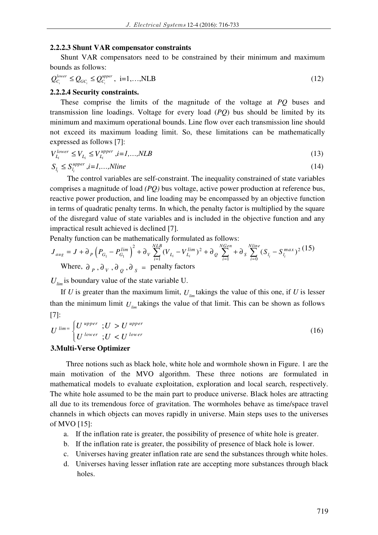### **2.2.2.3 Shunt VAR compensator constraints**

Shunt VAR compensators need to be constrained by their minimum and maximum bounds as follows:

$$
Q_{C_i}^{lower} \le Q_{GC_i} \le Q_{C_i}^{upper}, \ i=1,\ldots, NLB
$$
\n(12)

### **2.2.2.4 Security constraints.**

These comprise the limits of the magnitude of the voltage at *PQ* buses and transmission line loadings. Voltage for every load (*PQ*) bus should be limited by its minimum and maximum operational bounds. Line flow over each transmission line should not exceed its maximum loading limit. So, these limitations can be mathematically expressed as follows [7]:

$$
V_{L_i}^{lower} \le V_{L_i} \le V_{L_i}^{upper}, i=1,...,NLB
$$
\n
$$
(13)
$$

$$
S_{l_i} \le S_{l_i}^{upper}, i = 1, \dots, Nline \tag{14}
$$

 The control variables are self-constraint. The inequality constrained of state variables comprises a magnitude of load *(PQ)* bus voltage, active power production at reference bus, reactive power production, and line loading may be encompassed by an objective function in terms of quadratic penalty terms. In which, the penalty factor is multiplied by the square of the disregard value of state variables and is included in the objective function and any impractical result achieved is declined [7].

Penalty function can be mathematically formulated as follows:

$$
J_{aug} = J + \partial_p \left( P_{G_1} - P_{G_1}^{lim} \right)^2 + \partial_v \sum_{i=1}^{NLB} (V_{L_i} - V_{L_i}^{lim})^2 + \partial_0 \sum_{i=1}^{NGen} + \partial_s \sum_{i=0}^{Nline} (S_{L_i} - S_{L_i}^{max})^2 (15)
$$
  
Where,  $\partial_p$ ,  $\partial_v$ ,  $\partial_Q$ ,  $\partial_s$  = penalty factors

 $U_{\text{lim}}$  is boundary value of the state variable U.

If *U* is greater than the maximum limit,  $U_{lm}$  takings the value of this one, if *U* is lesser than the minimum limit  $U_{\mu}$  takings the value of that limit. This can be shown as follows [7]:

$$
U^{\text{ lim}} = \begin{cases} U^{\text{ upper}} & ; U > U^{\text{ upper}} \\ U^{\text{ lower}} & ; U < U^{\text{ lower}} \end{cases} \tag{16}
$$

### **3.Multi-Verse Optimizer**

Three notions such as black hole, white hole and wormhole shown in Figure. 1 are the main motivation of the MVO algorithm. These three notions are formulated in mathematical models to evaluate exploitation, exploration and local search, respectively. The white hole assumed to be the main part to produce universe. Black holes are attracting all due to its tremendous force of gravitation. The wormholes behave as time/space travel channels in which objects can moves rapidly in universe. Main steps uses to the universes of MVO [15]:

- a. If the inflation rate is greater, the possibility of presence of white hole is greater.
- b. If the inflation rate is greater, the possibility of presence of black hole is lower.
- c. Universes having greater inflation rate are send the substances through white holes.
- d. Universes having lesser inflation rate are accepting more substances through black holes.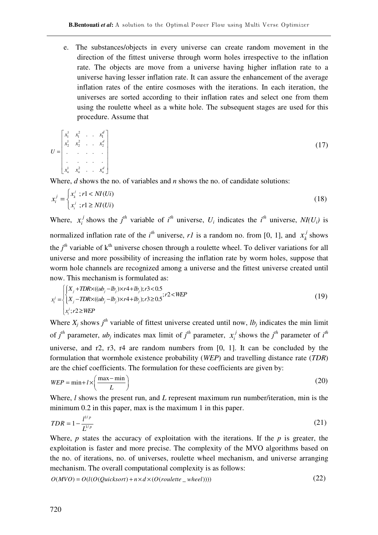e. The substances/objects in every universe can create random movement in the direction of the fittest universe through worm holes irrespective to the inflation rate. The objects are move from a universe having higher inflation rate to a universe having lesser inflation rate. It can assure the enhancement of the average inflation rates of the entire cosmoses with the iterations. In each iteration, the universes are sorted according to their inflation rates and select one from them using the roulette wheel as a white hole. The subsequent stages are used for this procedure. Assume that

$$
U = \begin{bmatrix} x_1^1 & x_1^2 & \cdots & x_1^d \\ x_2^1 & x_2^2 & \cdots & x_2^d \\ \vdots & \vdots & \ddots & \vdots \\ x_n^1 & x_n^2 & \cdots & x_n^d \end{bmatrix}
$$
 (17)

Where, *d* shows the no. of variables and *n* shows the no. of candidate solutions:

$$
x_i^j = \begin{cases} x_i^j & ; r1 < NI(Ui) \\ x_i^j & ; r1 \ge NI(Ui) \end{cases} \tag{18}
$$

Where,  $x_i^j$  shows the *j*<sup>th</sup> variable of *i*<sup>th</sup> universe,  $U_i$  indicates the *i*<sup>th</sup> universe,  $NI(U_i)$  is normalized inflation rate of the *i*<sup>th</sup> universe, *r1* is a random no. from [0, 1], and  $x_k^j$  shows the  $j<sup>th</sup>$  variable of  $k<sup>th</sup>$  universe chosen through a roulette wheel. To deliver variations for all universe and more possibility of increasing the inflation rate by worm holes, suppose that worm hole channels are recognized among a universe and the fittest universe created until now. This mechanism is formulated as:

$$
x_i^j = \begin{cases} \begin{cases} X_j + TDR \times ((ub_j - lb_j) \times r4 + lb_j); r3 < 0.5 \\ X_j - TDR \times ((ub_j - lb_j) \times r4 + lb_j); r3 \ge 0.5 \end{cases}; r2 < WEP \\ x_i^j; r2 \ge WEP \end{cases} \tag{19}
$$

Where  $X_j$  shows  $j^{th}$  variable of fittest universe created until now,  $lb_j$  indicates the min limit of *j*<sup>th</sup> parameter, *ub<sub>j</sub>* indicates max limit of *j*<sup>th</sup> parameter,  $x_i^j$  shows the *j*<sup>th</sup> parameter of *i*<sup>th</sup> universe, and r2, r3, r4 are random numbers from [0, 1]. It can be concluded by the formulation that wormhole existence probability (*WEP*) and travelling distance rate (*TDR*) are the chief coefficients. The formulation for these coefficients are given by:

$$
WEP = \min + l \times \left(\frac{\max - \min}{L}\right) \tag{20}
$$

Where, *l* shows the present run, and *L* represent maximum run number/iteration, min is the minimum 0.2 in this paper, max is the maximum 1 in this paper.

$$
TDR = 1 - \frac{l^{1/p}}{L^{1/p}}\tag{21}
$$

Where,  $p$  states the accuracy of exploitation with the iterations. If the  $p$  is greater, the exploitation is faster and more precise. The complexity of the MVO algorithms based on the no. of iterations, no. of universes, roulette wheel mechanism, and universe arranging mechanism. The overall computational complexity is as follows:

$$
O(MVO) = O(l(O(Quicksort) + n \times d \times (O(roulette \_ wheel)))) \tag{22}
$$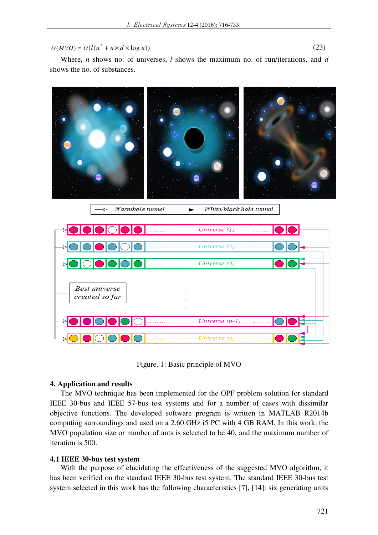$$
O(MVO) = O(l(n^2 + n \times d \times \log n))
$$
\n(23)

Where, *n* shows no. of universes, *l* shows the maximum no. of run/iterations, and *d* shows the no. of substances.



Figure. 1: Basic principle of MVO

## **4. Application and results**

The MVO technique has been implemented for the OPF problem solution for standard IEEE 30-bus and IEEE 57-bus test systems and for a number of cases with dissimilar objective functions. The developed software program is written in MATLAB R2014b computing surroundings and used on a 2.60 GHz i5 PC with 4 GB RAM. In this work, the MVO population size or number of ants is selected to be 40, and the maximum number of iteration is 500.

## **4.1 IEEE 30-bus test system**

With the purpose of elucidating the effectiveness of the suggested MVO algorithm, it has been verified on the standard IEEE 30-bus test system. The standard IEEE 30-bus test system selected in this work has the following characteristics [7], [14]: six generating units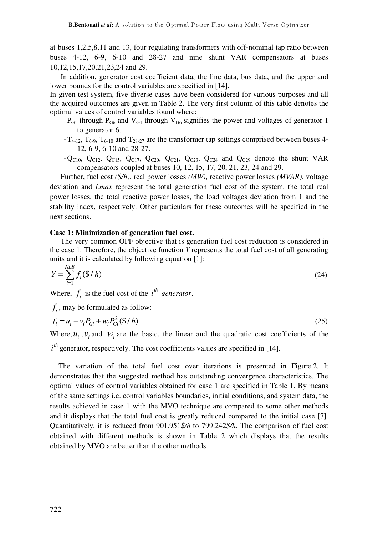at buses 1,2,5,8,11 and 13, four regulating transformers with off-nominal tap ratio between buses 4-12, 6-9, 6-10 and 28-27 and nine shunt VAR compensators at buses 10,12,15,17,20,21,23,24 and 29.

In addition, generator cost coefficient data, the line data, bus data, and the upper and lower bounds for the control variables are specified in [14].

In given test system, five diverse cases have been considered for various purposes and all the acquired outcomes are given in Table 2. The very first column of this table denotes the optimal values of control variables found where:

- $-P_{G1}$  through  $P_{G6}$  and  $V_{G1}$  through  $V_{G6}$  signifies the power and voltages of generator 1 to generator 6.
- $-T_{4-12}$ ,  $T_{6-9}$ ,  $T_{6-10}$  and  $T_{28-27}$  are the transformer tap settings comprised between buses 4-12, 6-9, 6-10 and 28-27.
- $-Q_{C10}$ ,  $Q_{C12}$ ,  $Q_{C15}$ ,  $Q_{C17}$ ,  $Q_{C20}$ ,  $Q_{C21}$ ,  $Q_{C23}$ ,  $Q_{C24}$  and  $Q_{C29}$  denote the shunt VAR compensators coupled at buses 10, 12, 15, 17, 20, 21, 23, 24 and 29.

Further, fuel cost *(\$/h)*, real power losses *(MW)*, reactive power losses *(MVAR)*, voltage deviation and *Lmax* represent the total generation fuel cost of the system, the total real power losses, the total reactive power losses, the load voltages deviation from 1 and the stability index, respectively. Other particulars for these outcomes will be specified in the next sections.

## **Case 1: Minimization of generation fuel cost.**

The very common OPF objective that is generation fuel cost reduction is considered in the case 1. Therefore, the objective function *Y* represents the total fuel cost of all generating units and it is calculated by following equation [1]: *NLB*

$$
Y = \sum_{i=1}^{NLS} f_i(\frac{6}{h})
$$
 (24)

Where,  $f_i$  is the fuel cost of the  $i^{th}$  generator.

 $f_i$ , may be formulated as follow:

$$
f_i = u_i + v_i P_{Gi} + w_i P_{Gi}^2 (\$ / h)
$$
\n(25)

Where,  $u_i$ ,  $v_i$  and  $w_i$  are the basic, the linear and the quadratic cost coefficients of the

 $i<sup>th</sup>$  generator, respectively. The cost coefficients values are specified in [14].

 The variation of the total fuel cost over iterations is presented in Figure.2. It demonstrates that the suggested method has outstanding convergence characteristics. The optimal values of control variables obtained for case 1 are specified in Table 1. By means of the same settings i.e. control variables boundaries, initial conditions, and system data, the results achieved in case 1 with the MVO technique are compared to some other methods and it displays that the total fuel cost is greatly reduced compared to the initial case [7]. Quantitatively, it is reduced from 901.951*\$/h* to 799.242*\$/h*. The comparison of fuel cost obtained with different methods is shown in Table 2 which displays that the results obtained by MVO are better than the other methods.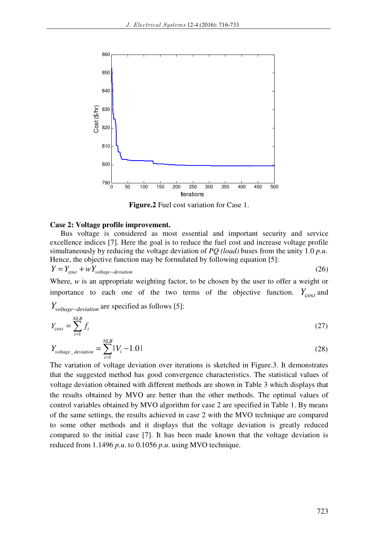

**Figure.2** Fuel cost variation for Case 1.

### **Case 2: Voltage profile improvement.**

Bus voltage is considered as most essential and important security and service excellence indices [7]. Here the goal is to reduce the fuel cost and increase voltage profile simultaneously by reducing the voltage deviation of *PQ (load)* buses from the unity 1.0 *p.u*. Hence, the objective function may be formulated by following equation [5]:

 $Y = Y_{\text{cost}} + \omega Y_{voltage-devation}$  $(26)$ 

Where, *w* is an appropriate weighting factor, to be chosen by the user to offer a weight or importance to each one of the two terms of the objective function.  $Y_{\text{cost}}$  and

 $Y_{voltage-deviation}$  are specified as follows [5]:

$$
Y_{\text{cost}} = \sum_{i=1}^{NLB} f_i \tag{27}
$$

$$
Y_{voltage\_deviation} = \sum_{i=1}^{NLB} |V_i - 1.0|
$$
\n(28)

The variation of voltage deviation over iterations is sketched in Figure.3. It demonstrates that the suggested method has good convergence characteristics. The statistical values of voltage deviation obtained with different methods are shown in Table 3 which displays that the results obtained by MVO are better than the other methods. The optimal values of control variables obtained by MVO algorithm for case 2 are specified in Table 1. By means of the same settings, the results achieved in case 2 with the MVO technique are compared to some other methods and it displays that the voltage deviation is greatly reduced compared to the initial case [7]. It has been made known that the voltage deviation is reduced from 1.1496 *p.u*. to 0.1056 *p.u*. using MVO technique.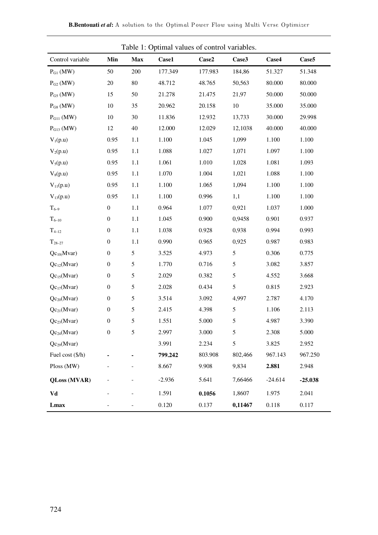|                     | rabic 1. Optimar values of control variables. |            |          |         |         |           |                   |
|---------------------|-----------------------------------------------|------------|----------|---------|---------|-----------|-------------------|
| Control variable    | Min                                           | <b>Max</b> | Case1    | Case2   | Case3   | Case4     | Case <sub>5</sub> |
| $P_{G1}$ (MW)       | 50                                            | 200        | 177.349  | 177.983 | 184,86  | 51.327    | 51.348            |
| $P_{G2}$ (MW)       | 20                                            | 80         | 48.712   | 48.765  | 50,563  | 80.000    | 80.000            |
| $P_{G5}$ (MW)       | 15                                            | 50         | 21.278   | 21.475  | 21,97   | 50.000    | 50.000            |
| $PG8$ (MW)          | 10                                            | 35         | 20.962   | 20.158  | $10\,$  | 35.000    | 35.000            |
| $PG11$ (MW)         | $10\,$                                        | 30         | 11.836   | 12.932  | 13,733  | 30.000    | 29.998            |
| $PG13$ (MW)         | 12                                            | 40         | 12.000   | 12.029  | 12,1038 | 40.000    | 40.000            |
| $V_1(p.u)$          | 0.95                                          | 1.1        | 1.100    | 1.045   | 1,099   | 1.100     | 1.100             |
| $V_2(p.u)$          | 0.95                                          | 1.1        | 1.088    | 1.027   | 1,071   | 1.097     | 1.100             |
| $V_5(p.u)$          | 0.95                                          | 1.1        | 1.061    | 1.010   | 1,028   | 1.081     | 1.093             |
| $V_8(p.u)$          | 0.95                                          | 1.1        | 1.070    | 1.004   | 1,021   | 1.088     | 1.100             |
| $V_{11}(p.u)$       | 0.95                                          | $1.1\,$    | 1.100    | 1.065   | 1,094   | 1.100     | 1.100             |
| $V_{13}(p.u)$       | 0.95                                          | 1.1        | 1.100    | 0.996   | 1,1     | 1.100     | 1.100             |
| $T_{6-9}$           | $\boldsymbol{0}$                              | $1.1\,$    | 0.964    | 1.077   | 0,921   | 1.037     | 1.000             |
| $T_{6-10}$          | $\boldsymbol{0}$                              | 1.1        | 1.045    | 0.900   | 0,9458  | 0.901     | 0.937             |
| $T_{4-12}$          | $\boldsymbol{0}$                              | $1.1\,$    | 1.038    | 0.928   | 0,938   | 0.994     | 0.993             |
| $T_{28-27}$         | $\boldsymbol{0}$                              | 1.1        | 0.990    | 0.965   | 0,925   | 0.987     | 0.983             |
| $Qc_{10}$ (Mvar)    | $\boldsymbol{0}$                              | 5          | 3.525    | 4.973   | 5       | 0.306     | 0.775             |
| $Qc_{12}(Mvar)$     | $\boldsymbol{0}$                              | 5          | 1.770    | 0.716   | 5       | 3.082     | 3.857             |
| $Qc_{15}(Mvar)$     | $\boldsymbol{0}$                              | 5          | 2.029    | 0.382   | 5       | 4.552     | 3.668             |
| $Qc_{17}(Mvar)$     | $\boldsymbol{0}$                              | 5          | 2.028    | 0.434   | 5       | 0.815     | 2.923             |
| $Qc_{20}(Mvar)$     | $\boldsymbol{0}$                              | 5          | 3.514    | 3.092   | 4,997   | 2.787     | 4.170             |
| $Qc_{21}(Mvar)$     | $\boldsymbol{0}$                              | 5          | 2.415    | 4.398   | 5       | 1.106     | 2.113             |
| $Qc_{23}(Mvar)$     | $\boldsymbol{0}$                              | 5          | 1.551    | 5.000   | 5       | 4.987     | 3.390             |
| $Qc_{24}(Mvar)$     | 0                                             | 5.         | 2.997    | 3.000   | 5.      | 2.308     | 5.000             |
| $Qc_{29}(Mvar)$     |                                               |            | 3.991    | 2.234   | 5       | 3.825     | 2.952             |
| Fuel cost (\$/h)    |                                               |            | 799.242  | 803.908 | 802,466 | 967.143   | 967.250           |
| Ploss (MW)          |                                               |            | 8.667    | 9.908   | 9,834   | 2.881     | 2.948             |
| <b>QLoss (MVAR)</b> |                                               |            | $-2.936$ | 5.641   | 7,66466 | $-24.614$ | $-25.038$         |
| Vd                  |                                               |            | 1.591    | 0.1056  | 1,8607  | 1.975     | 2.041             |
| Lmax                |                                               |            | 0.120    | 0.137   | 0,11467 | 0.118     | 0.117             |

Table 1: Optimal values of control variables.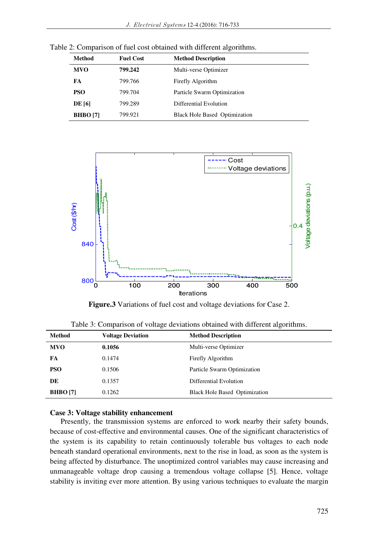| <b>Method</b>   | <b>Fuel Cost</b> | <b>Method Description</b>            |
|-----------------|------------------|--------------------------------------|
| <b>MVO</b>      | 799.242          | Multi-verse Optimizer                |
| FA              | 799.766          | Firefly Algorithm                    |
| <b>PSO</b>      | 799.704          | Particle Swarm Optimization          |
| <b>DE [6]</b>   | 799.289          | Differential Evolution               |
| <b>BHBO</b> [7] | 799.921          | <b>Black Hole Based Optimization</b> |

Table 2: Comparison of fuel cost obtained with different algorithms.



**Figure.3** Variations of fuel cost and voltage deviations for Case 2.

| <b>Method</b>   | <b>Voltage Deviation</b> | <b>Method Description</b>            |
|-----------------|--------------------------|--------------------------------------|
| <b>MVO</b>      | 0.1056                   | Multi-verse Optimizer                |
| FA              | 0.1474                   | Firefly Algorithm                    |
| <b>PSO</b>      | 0.1506                   | Particle Swarm Optimization          |
| DE              | 0.1357                   | Differential Evolution               |
| <b>BHBO</b> [7] | 0.1262                   | <b>Black Hole Based Optimization</b> |

Table 3: Comparison of voltage deviations obtained with different algorithms.

## **Case 3: Voltage stability enhancement**

Presently, the transmission systems are enforced to work nearby their safety bounds, because of cost-effective and environmental causes. One of the significant characteristics of the system is its capability to retain continuously tolerable bus voltages to each node beneath standard operational environments, next to the rise in load, as soon as the system is being affected by disturbance. The unoptimized control variables may cause increasing and unmanageable voltage drop causing a tremendous voltage collapse [5]. Hence, voltage stability is inviting ever more attention. By using various techniques to evaluate the margin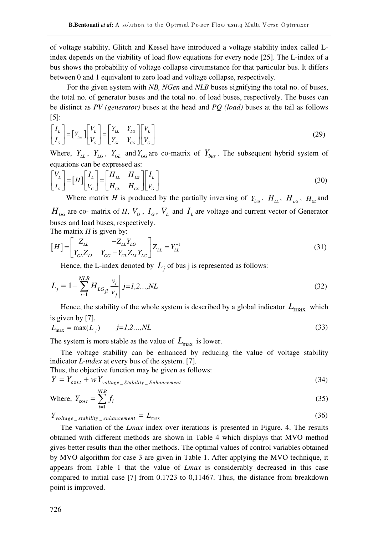of voltage stability, Glitch and Kessel have introduced a voltage stability index called Lindex depends on the viability of load flow equations for every node [25]. The L-index of a bus shows the probability of voltage collapse circumstance for that particular bus. It differs between 0 and 1 equivalent to zero load and voltage collapse, respectively.

 For the given system with *NB, NGen* and *NLB* buses signifying the total no. of buses, the total no. of generator buses and the total no. of load buses, respectively. The buses can be distinct as *PV (generator)* buses at the head and *PQ (load)* buses at the tail as follows [5]:

$$
\begin{bmatrix} I_L \\ I_G \end{bmatrix} = \begin{bmatrix} Y_{bus} \\ Y_G \end{bmatrix} \begin{bmatrix} V_L \\ V_G \end{bmatrix} = \begin{bmatrix} Y_{LL} & Y_{LG} \\ Y_{GL} & Y_{GG} \end{bmatrix} \begin{bmatrix} V_L \\ V_G \end{bmatrix}
$$
\n(29)

Where,  $Y_L$ ,  $Y_{LG}$ ,  $Y_{GL}$  and  $Y_{GG}$  are co-matrix of  $Y_{bus}$ . The subsequent hybrid system of equations can be expressed as:

$$
\begin{bmatrix} V_L \\ I_G \end{bmatrix} = [H] \begin{bmatrix} I_L \\ V_G \end{bmatrix} = \begin{bmatrix} H_{LL} & H_{LG} \\ H_{GL} & H_{GG} \end{bmatrix} \begin{bmatrix} I_L \\ V_G \end{bmatrix}
$$
\n(30)

Where matrix *H* is produced by the partially inversing of  $Y_{bus}$ ,  $H_{LL}$ ,  $H_{LG}$ ,  $H_{GL}$  and  $H_{GG}$  are co- matrix of *H*,  $V_G$ ,  $I_G$ ,  $V_L$  and  $I_L$  are voltage and current vector of Generator buses and load buses, respectively. The matrix *H* is given by:

$$
[H] = \begin{bmatrix} Z_{LL} & -Z_{LL}Y_{LG} \\ Y_{GL}Z_{LL} & Y_{GG} - Y_{GL}Z_{LL}Y_{LG} \end{bmatrix} Z_{LL} = Y_{LL}^{-1}
$$
(31)

Hence, the L-index denoted by  $L_j$  of bus j is represented as follows:

$$
L_j = \left| 1 - \sum_{i=1}^{NLB} H_{LG_{ji}} \frac{v_i}{v_j} \right| j = 1, 2, ..., NL
$$
 (32)

Hence, the stability of the whole system is described by a global indicator  $L_{\text{max}}$  which is given by [7],

$$
L_{\text{max}} = \max(L_j) \qquad j = 1, 2, \dots, NL \tag{33}
$$

The system is more stable as the value of  $L_{\text{max}}$  is lower.

The voltage stability can be enhanced by reducing the value of voltage stability indicator *L-index* at every bus of the system. [7].

Thus, the objective function may be given as follows:

$$
Y = Y_{\text{cost}} + \omega Y_{\text{voltage\_Stability\_Enhancement}} \tag{34}
$$

Where, 
$$
Y_{\text{cost}} = \sum_{i=1}^{NLB} f_i
$$
 (35)

 $Y_{voltage\_stability\_enhancement} = L_{max}$  (36)

The variation of the *Lmax* index over iterations is presented in Figure. 4. The results obtained with different methods are shown in Table 4 which displays that MVO method gives better results than the other methods. The optimal values of control variables obtained by MVO algorithm for case 3 are given in Table 1. After applying the MVO technique, it appears from Table 1 that the value of *Lmax* is considerably decreased in this case compared to initial case [7] from 0.1723 to 0,11467. Thus, the distance from breakdown point is improved.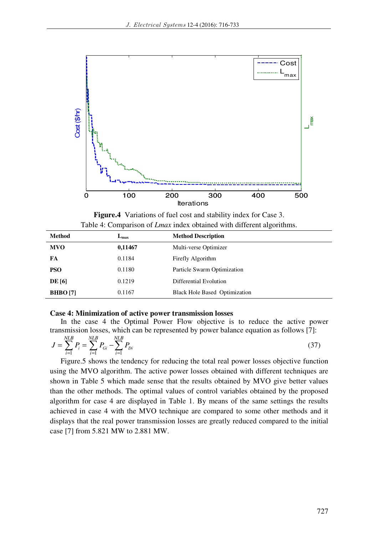

**Figure.4** Variations of fuel cost and stability index for Case 3. Table 4: Comparison of *Lmax* index obtained with different algorithms.

| <b>Method</b>   | $L_{\rm max}$ | <b>Method Description</b>            |
|-----------------|---------------|--------------------------------------|
| <b>MVO</b>      | 0,11467       | Multi-verse Optimizer                |
| FA              | 0.1184        | Firefly Algorithm                    |
| <b>PSO</b>      | 0.1180        | Particle Swarm Optimization          |
| <b>DE</b> [6]   | 0.1219        | Differential Evolution               |
| <b>BHBO</b> [7] | 0.1167        | <b>Black Hole Based Optimization</b> |

### **Case 4: Minimization of active power transmission losses**

In the case 4 the Optimal Power Flow objective is to reduce the active power transmission losses, which can be represented by power balance equation as follows [7]:

$$
J = \sum_{i=1}^{NLB} P_i = \sum_{i=1}^{NLB} P_{Gi} - \sum_{i=1}^{NLB} P_{Di}
$$
 (37)

Figure.5 shows the tendency for reducing the total real power losses objective function using the MVO algorithm. The active power losses obtained with different techniques are shown in Table 5 which made sense that the results obtained by MVO give better values than the other methods. The optimal values of control variables obtained by the proposed algorithm for case 4 are displayed in Table 1. By means of the same settings the results achieved in case 4 with the MVO technique are compared to some other methods and it displays that the real power transmission losses are greatly reduced compared to the initial case [7] from 5.821 MW to 2.881 MW.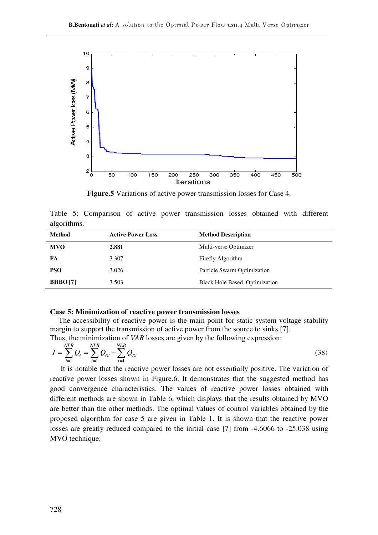

**Figure.5** Variations of active power transmission losses for Case 4.

Table 5: Comparison of active power transmission losses obtained with different algorithms.

| <b>Method</b>   | <b>Active Power Loss</b> | <b>Method Description</b>            |
|-----------------|--------------------------|--------------------------------------|
| <b>MVO</b>      | 2.881                    | Multi-verse Optimizer                |
| FA              | 3.307                    | Firefly Algorithm                    |
| <b>PSO</b>      | 3.026                    | Particle Swarm Optimization          |
| <b>BHBO</b> [7] | 3.503                    | <b>Black Hole Based Optimization</b> |

#### **Case 5: Minimization of reactive power transmission losses**

 The accessibility of reactive power is the main point for static system voltage stability margin to support the transmission of active power from the source to sinks [7]. Thus, the minimization of *VAR* losses are given by the following expression:

$$
J = \sum_{i=1}^{NLB} Q_i = \sum_{i=1}^{NLB} Q_{Gi} - \sum_{i=1}^{NLB} Q_{Di}
$$
 (38)

It is notable that the reactive power losses are not essentially positive. The variation of reactive power losses shown in Figure.6. It demonstrates that the suggested method has good convergence characteristics. The values of reactive power losses obtained with different methods are shown in Table 6, which displays that the results obtained by MVO are better than the other methods. The optimal values of control variables obtained by the proposed algorithm for case 5 are given in Table 1. It is shown that the reactive power losses are greatly reduced compared to the initial case [7] from -4.6066 to -25.038 using MVO technique.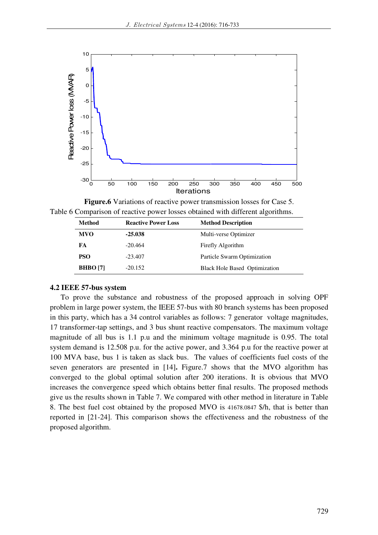

**Figure.6** Variations of reactive power transmission losses for Case 5. Table 6 Comparison of reactive power losses obtained with different algorithms.

| Method          | <b>Reactive Power Loss</b> | <b>Method Description</b>            |  |
|-----------------|----------------------------|--------------------------------------|--|
| <b>MVO</b>      | $-25.038$                  | Multi-verse Optimizer                |  |
| FA              | $-20.464$                  | Firefly Algorithm                    |  |
| <b>PSO</b>      | $-23.407$                  | Particle Swarm Optimization          |  |
| <b>BHBO</b> [7] | $-20.152$                  | <b>Black Hole Based Optimization</b> |  |

## **4.2 IEEE 57-bus system**

To prove the substance and robustness of the proposed approach in solving OPF problem in large power system, the IEEE 57-bus with 80 branch systems has been proposed in this party, which has a 34 control variables as follows: 7 generator voltage magnitudes, 17 transformer-tap settings, and 3 bus shunt reactive compensators. The maximum voltage magnitude of all bus is 1.1 p.u and the minimum voltage magnitude is 0.95. The total system demand is 12.508 p.u. for the active power, and 3.364 p.u for the reactive power at 100 MVA base, bus 1 is taken as slack bus. The values of coefficients fuel costs of the seven generators are presented in [14]**.** Figure.7 shows that the MVO algorithm has converged to the global optimal solution after 200 iterations. It is obvious that MVO increases the convergence speed which obtains better final results. The proposed methods give us the results shown in Table 7. We compared with other method in literature in Table 8. The best fuel cost obtained by the proposed MVO is 41678.0847 \$/h, that is better than reported in [21-24]. This comparison shows the effectiveness and the robustness of the proposed algorithm.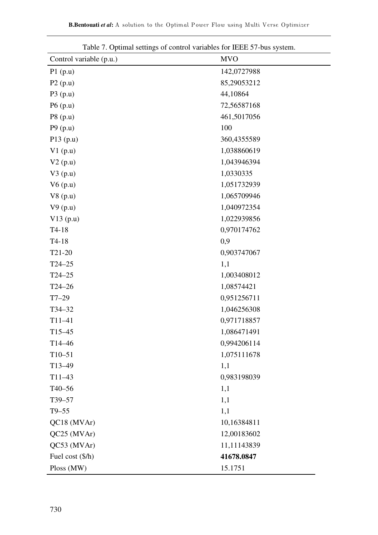| radic $\tau$ . Optimal settings of control variables for fill $\tau$ -bus system. |             |
|-----------------------------------------------------------------------------------|-------------|
| Control variable (p.u.)                                                           | <b>MVO</b>  |
| P1(p.u)                                                                           | 142,0727988 |
| P2(p.u)                                                                           | 85,29053212 |
| P3(p.u)                                                                           | 44,10864    |
| P6(p.u)                                                                           | 72,56587168 |
| P8(p.u)                                                                           | 461,5017056 |
| P9(p.u)                                                                           | 100         |
| P13(p.u)                                                                          | 360,4355589 |
| V1(p.u)                                                                           | 1,038860619 |
| V2(p.u)                                                                           | 1,043946394 |
| V3(p.u)                                                                           | 1,0330335   |
| V6(p.u)                                                                           | 1,051732939 |
| V8(p.u)                                                                           | 1,065709946 |
| V9(p.u)                                                                           | 1,040972354 |
| V13(p.u)                                                                          | 1,022939856 |
| $T4-18$                                                                           | 0,970174762 |
| $T4-18$                                                                           | 0,9         |
| T <sub>21</sub> -20                                                               | 0,903747067 |
| $T24 - 25$                                                                        | 1,1         |
| $T24 - 25$                                                                        | 1,003408012 |
| $T24 - 26$                                                                        | 1,08574421  |
| $T7-29$                                                                           | 0,951256711 |
| $T34 - 32$                                                                        | 1,046256308 |
| $T11-41$                                                                          | 0,971718857 |
| T15–45                                                                            | 1,086471491 |
| $T14 - 46$                                                                        | 0,994206114 |
| $T10 - 51$                                                                        | 1,075111678 |
| $T13-49$                                                                          | 1,1         |
| $T11-43$                                                                          | 0,983198039 |
| $T40 - 56$                                                                        | 1,1         |
| T39-57                                                                            | 1,1         |
| $T9-55$                                                                           | 1,1         |
| QC18 (MVAr)                                                                       | 10,16384811 |
| QC25 (MVAr)                                                                       | 12,00183602 |
| QC53 (MVAr)                                                                       | 11,11143839 |
| Fuel cost (\$/h)                                                                  | 41678.0847  |
| Ploss (MW)                                                                        | 15.1751     |

Table 7. Optimal settings of control variables for IEEE 57-bus system.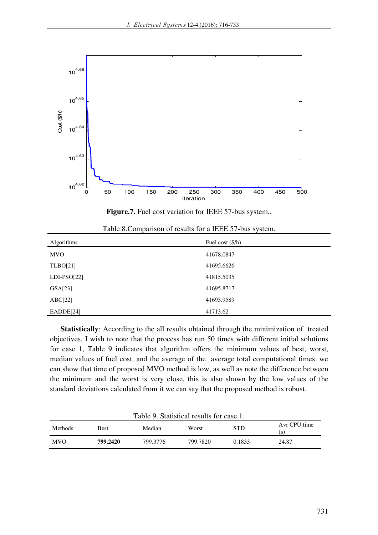

Figure.7. Fuel cost variation for IEEE 57-bus system..

| Algorithms    | Fuel cost $(\frac{5}{h})$ |
|---------------|---------------------------|
| <b>MVO</b>    | 41678.0847                |
| TLBO[21]      | 41695.6626                |
| $LDI-PSO[22]$ | 41815.5035                |
| GSA[23]       | 41695.8717                |
| ABC[22]       | 41693.9589                |
| EADDE[24]     | 41713.62                  |

Table 8.Comparison of results for a IEEE 57-bus system.

**Statistically**: According to the all results obtained through the minimization of treated objectives, I wish to note that the process has run 50 times with different initial solutions for case 1, Table 9 indicates that algorithm offers the minimum values of best, worst, median values of fuel cost, and the average of the average total computational times. we can show that time of proposed MVO method is low, as well as note the difference between the minimum and the worst is very close, this is also shown by the low values of the standard deviations calculated from it we can say that the proposed method is robust.

| Table 9. Statistical results for case 1.                                  |          |          |          |        |       |  |
|---------------------------------------------------------------------------|----------|----------|----------|--------|-------|--|
| Avr CPU time<br>STD<br>Median<br>Methods<br>Worst<br><b>Best</b><br>( S ) |          |          |          |        |       |  |
| <b>MVO</b>                                                                | 799.2420 | 799.3776 | 799.7820 | 0.1833 | 24.87 |  |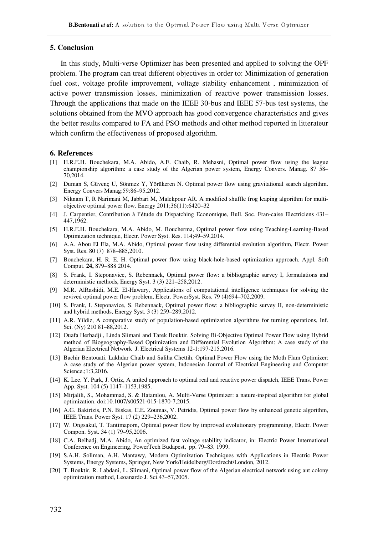#### **5. Conclusion**

In this study, Multi-verse Optimizer has been presented and applied to solving the OPF problem. The program can treat different objectives in order to: Minimization of generation fuel cost, voltage profile improvement, voltage stability enhancement , minimization of active power transmission losses, minimization of reactive power transmission losses. Through the applications that made on the IEEE 30-bus and IEEE 57-bus test systems, the solutions obtained from the MVO approach has good convergence characteristics and gives the better results compared to FA and PSO methods and other method reported in litterateur which confirm the effectiveness of proposed algorithm.

#### **6. References**

- [1] H.R.E.H. Bouchekara, M.A. Abido, A.E. Chaib, R. Mehasni, Optimal power flow using the league championship algorithm: a case study of the Algerian power system, Energy Convers. Manag. 87 58– 70,2014.
- [2] Duman S, Güvenç U, Sönmez Y, Yörükeren N. Optimal power flow using gravitational search algorithm. Energy Convers Manag;59:86–95,2012.
- [3] Niknam T, R Narimani M, Jabbari M, Malekpour AR. A modified shuffle frog leaping algorithm for multiobjective optimal power flow. Energy 2011;36(11):6420–32
- [4] J. Carpentier, Contribution à l'étude du Dispatching Economique, Bull. Soc. Fran-caise Electriciens 431– 447,1962.
- [5] H.R.E.H. Bouchekara, M.A. Abido, M. Boucherma, Optimal power flow using Teaching-Learning-Based Optimization technique, Electr. Power Syst. Res. 114;49–59,2014.
- [6] A.A. Abou El Ela, M.A. Abido, Optimal power flow using differential evolution algorithm, Electr. Power Syst. Res. 80 (7) 878–885,2010.
- [7] Bouchekara, H. R. E. H. Optimal power flow using black-hole-based optimization approach. Appl. Soft Comput. **24,** 879–888 2014.
- [8] S. Frank, I. Steponavice, S. Rebennack, Optimal power flow: a bibliographic survey I, formulations and deterministic methods, Energy Syst. 3 (3) 221–258,2012.
- [9] M.R. AlRashidi, M.E. El-Hawary, Applications of computational intelligence techniques for solving the revived optimal power flow problem, Electr. PowerSyst. Res. 79 (4)694–702,2009.
- [10] S. Frank, I. Steponavice, S. Rebennack, Optimal power flow: a bibliographic survey II, non-deterministic and hybrid methods, Energy Syst. 3 (3) 259–289,2012.
- [11] A.R. Yildiz, A comparative study of population-based optimization algorithms for turning operations, Inf. Sci. (Ny) 210 81–88,2012.
- [12] Ouafa Herbadji , Linda Slimani and Tarek Bouktir. Solving Bi-Objective Optimal Power Flow using Hybrid method of Biogeography-Based Optimization and Differential Evolution Algorithm: A case study of the Algerian Electrical Network J. Electrical Systems 12-1:197-215,2016.
- [13] Bachir Bentouati. Lakhdar Chaib and Saliha Chettih. Optimal Power Flow using the Moth Flam Optimizer: A case study of the Algerian power system, Indonesian Journal of Electrical Engineering and Computer Science.;1:3,2016.
- [14] K. Lee, Y. Park, J. Ortiz, A united approach to optimal real and reactive power dispatch, IEEE Trans. Power App. Syst. 104 (5) 1147–1153,1985.
- [15] Mirjalili, S., Mohammad, S. & Hatamlou, A. Multi-Verse Optimizer: a nature-inspired algorithm for global optimization. doi:10.1007/s00521-015-1870-7,2015.
- [16] A.G. Bakirtzis, P.N. Biskas, C.E. Zoumas, V. Petridis, Optimal power flow by enhanced genetic algorithm, IEEE Trans. Power Syst. 17 (2) 229–236,2002.
- [17] W. Ongsakul, T. Tantimaporn, Optimal power flow by improved evolutionary programming, Electr. Power Compon. Syst. 34 (1) 79–95,2006.
- [18] C.A. Belhadj, M.A. Abido, An optimized fast voltage stability indicator, in: Electric Power International Conference on Engineering, PowerTech Budapest, pp. 79–83, 1999.
- [19] S.A.H. Soliman, A.H. Mantawy, Modern Optimization Techniques with Applications in Electric Power Systems, Energy Systems, Springer, New York/Heidelberg/Dordrecht/London, 2012.
- [20] T. Bouktir, R. Labdani, L. Slimani, Optimal power flow of the Algerian electrical network using ant colony optimization method, Leoanardo J. Sci.43–57,2005.